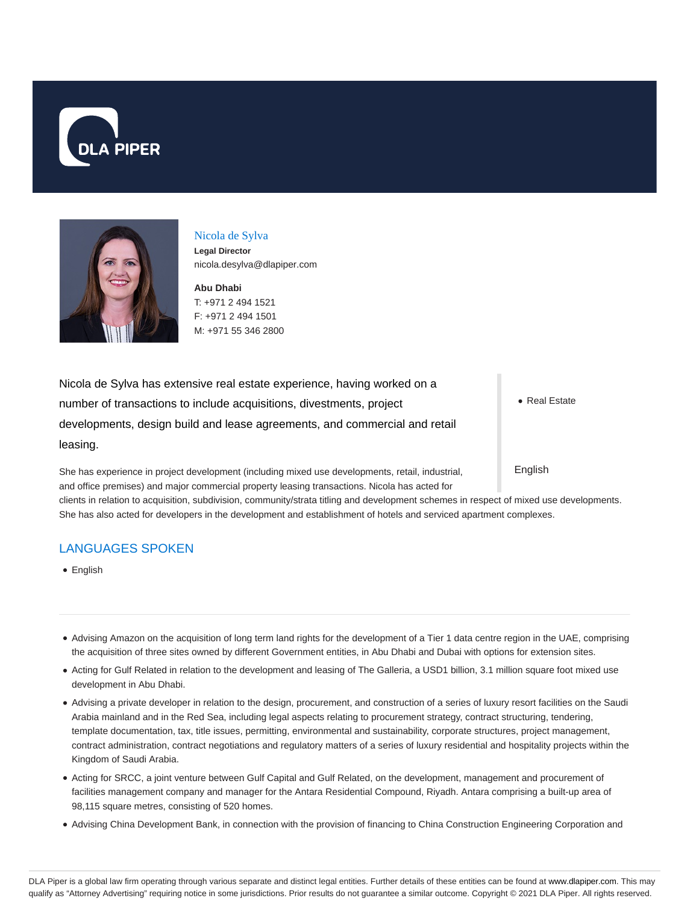



### Nicola de Sylva

**Legal Director** nicola.desylva@dlapiper.com

**Abu Dhabi** T: +971 2 494 1521 F: +971 2 494 1501 M: +971 55 346 2800

Nicola de Sylva has extensive real estate experience, having worked on a number of transactions to include acquisitions, divestments, project developments, design build and lease agreements, and commercial and retail leasing.

She has experience in project development (including mixed use developments, retail, industrial, and office premises) and major commercial property leasing transactions. Nicola has acted for

• Real Estate

English

clients in relation to acquisition, subdivision, community/strata titling and development schemes in respect of mixed use developments. She has also acted for developers in the development and establishment of hotels and serviced apartment complexes.

# LANGUAGES SPOKEN

English

- Advising Amazon on the acquisition of long term land rights for the development of a Tier 1 data centre region in the UAE, comprising the acquisition of three sites owned by different Government entities, in Abu Dhabi and Dubai with options for extension sites.
- Acting for Gulf Related in relation to the development and leasing of The Galleria, a USD1 billion, 3.1 million square foot mixed use development in Abu Dhabi.
- Advising a private developer in relation to the design, procurement, and construction of a series of luxury resort facilities on the Saudi Arabia mainland and in the Red Sea, including legal aspects relating to procurement strategy, contract structuring, tendering, template documentation, tax, title issues, permitting, environmental and sustainability, corporate structures, project management, contract administration, contract negotiations and regulatory matters of a series of luxury residential and hospitality projects within the Kingdom of Saudi Arabia.
- Acting for SRCC, a joint venture between Gulf Capital and Gulf Related, on the development, management and procurement of facilities management company and manager for the Antara Residential Compound, Riyadh. Antara comprising a built-up area of 98,115 square metres, consisting of 520 homes.
- Advising China Development Bank, in connection with the provision of financing to China Construction Engineering Corporation and

DLA Piper is a global law firm operating through various separate and distinct legal entities. Further details of these entities can be found at www.dlapiper.com. This may qualify as "Attorney Advertising" requiring notice in some jurisdictions. Prior results do not guarantee a similar outcome. Copyright @ 2021 DLA Piper. All rights reserved.